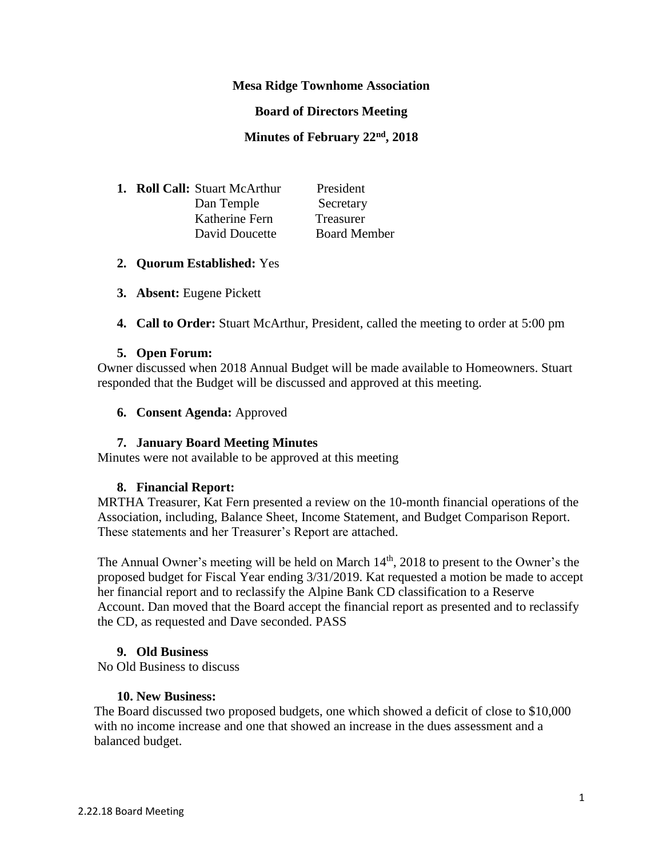## **Mesa Ridge Townhome Association**

#### **Board of Directors Meeting**

#### **Minutes of February 22nd, 2018**

|  | <b>1. Roll Call:</b> Stuart McArthur | President           |
|--|--------------------------------------|---------------------|
|  | Dan Temple                           | Secretary           |
|  | Katherine Fern                       | <b>Treasurer</b>    |
|  | David Doucette                       | <b>Board Member</b> |

#### **2. Quorum Established:** Yes

- **3. Absent:** Eugene Pickett
- **4. Call to Order:** Stuart McArthur, President, called the meeting to order at 5:00 pm

#### **5. Open Forum:**

Owner discussed when 2018 Annual Budget will be made available to Homeowners. Stuart responded that the Budget will be discussed and approved at this meeting.

#### **6. Consent Agenda:** Approved

## **7. January Board Meeting Minutes**

Minutes were not available to be approved at this meeting

## **8. Financial Report:**

MRTHA Treasurer, Kat Fern presented a review on the 10-month financial operations of the Association, including, Balance Sheet, Income Statement, and Budget Comparison Report. These statements and her Treasurer's Report are attached.

The Annual Owner's meeting will be held on March  $14<sup>th</sup>$ , 2018 to present to the Owner's the proposed budget for Fiscal Year ending 3/31/2019. Kat requested a motion be made to accept her financial report and to reclassify the Alpine Bank CD classification to a Reserve Account. Dan moved that the Board accept the financial report as presented and to reclassify the CD, as requested and Dave seconded. PASS

## **9. Old Business**

No Old Business to discuss

## **10. New Business:**

The Board discussed two proposed budgets, one which showed a deficit of close to \$10,000 with no income increase and one that showed an increase in the dues assessment and a balanced budget.